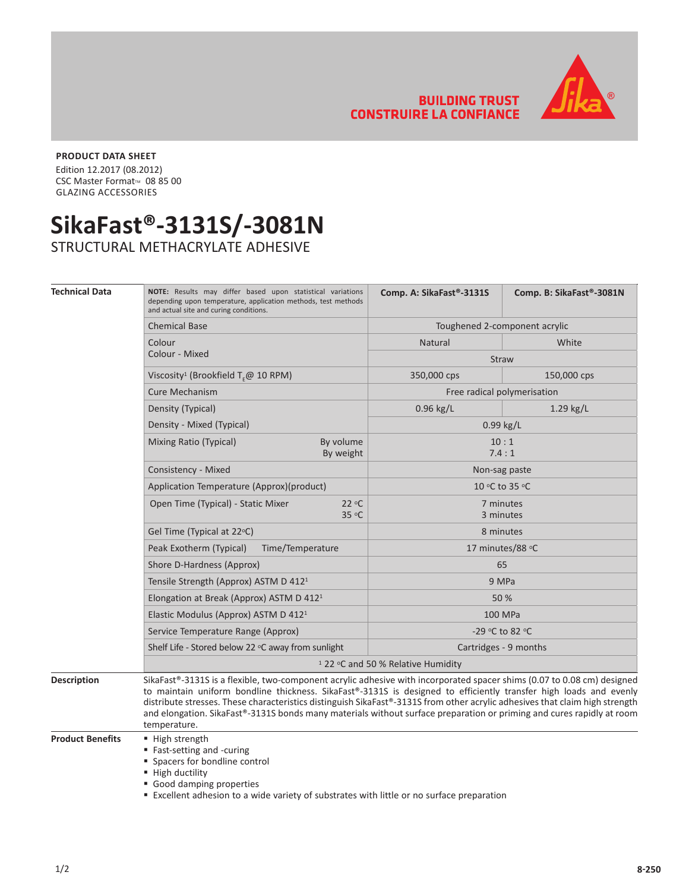**BUILDING TRUST CONSTRUIRE LA CONFIANCE** 



## **PRODUCT DATA SHEET**

Edition 12.2017 (08.2012) CSC Master Format<sup>™</sup> 08 85 00 GLAZING ACCESSORIES

## **SikaFast®-3131S/-3081N**

STRUCTURAL METHACRYLATE ADHESIVE

| <b>Technical Data</b> | NOTE: Results may differ based upon statistical variations<br>depending upon temperature, application methods, test methods<br>and actual site and curing conditions.                                                                                                                                                                                                                                                                                                                                 | Comp. A: SikaFast®-3131S      | Comp. B: SikaFast®-3081N |
|-----------------------|-------------------------------------------------------------------------------------------------------------------------------------------------------------------------------------------------------------------------------------------------------------------------------------------------------------------------------------------------------------------------------------------------------------------------------------------------------------------------------------------------------|-------------------------------|--------------------------|
|                       | <b>Chemical Base</b>                                                                                                                                                                                                                                                                                                                                                                                                                                                                                  | Toughened 2-component acrylic |                          |
|                       | Colour<br>Colour - Mixed                                                                                                                                                                                                                                                                                                                                                                                                                                                                              | Natural                       | White                    |
|                       |                                                                                                                                                                                                                                                                                                                                                                                                                                                                                                       | <b>Straw</b>                  |                          |
|                       | Viscosity <sup>1</sup> (Brookfield $T_{c}$ @ 10 RPM)                                                                                                                                                                                                                                                                                                                                                                                                                                                  | 350,000 cps                   | 150,000 cps              |
|                       | <b>Cure Mechanism</b>                                                                                                                                                                                                                                                                                                                                                                                                                                                                                 | Free radical polymerisation   |                          |
|                       | Density (Typical)                                                                                                                                                                                                                                                                                                                                                                                                                                                                                     | $0.96$ kg/L                   | $1.29$ kg/L              |
|                       | Density - Mixed (Typical)                                                                                                                                                                                                                                                                                                                                                                                                                                                                             | 0.99 kg/L                     |                          |
|                       | Mixing Ratio (Typical)<br>By volume<br>By weight                                                                                                                                                                                                                                                                                                                                                                                                                                                      | 10:1<br>7.4:1                 |                          |
|                       | Consistency - Mixed                                                                                                                                                                                                                                                                                                                                                                                                                                                                                   | Non-sag paste                 |                          |
|                       | Application Temperature (Approx)(product)                                                                                                                                                                                                                                                                                                                                                                                                                                                             | 10 °C to 35 °C                |                          |
|                       | Open Time (Typical) - Static Mixer<br>22 °C<br>35 °C                                                                                                                                                                                                                                                                                                                                                                                                                                                  | 7 minutes<br>3 minutes        |                          |
|                       | Gel Time (Typical at 22°C)                                                                                                                                                                                                                                                                                                                                                                                                                                                                            | 8 minutes                     |                          |
|                       | Peak Exotherm (Typical)<br>Time/Temperature                                                                                                                                                                                                                                                                                                                                                                                                                                                           | 17 minutes/88 °C              |                          |
|                       | Shore D-Hardness (Approx)                                                                                                                                                                                                                                                                                                                                                                                                                                                                             | 65                            |                          |
|                       | Tensile Strength (Approx) ASTM D 412 <sup>1</sup>                                                                                                                                                                                                                                                                                                                                                                                                                                                     | 9 MPa                         |                          |
|                       | Elongation at Break (Approx) ASTM D 412 <sup>1</sup>                                                                                                                                                                                                                                                                                                                                                                                                                                                  | 50 %                          |                          |
|                       | Elastic Modulus (Approx) ASTM D 412 <sup>1</sup>                                                                                                                                                                                                                                                                                                                                                                                                                                                      | 100 MPa                       |                          |
|                       | Service Temperature Range (Approx)                                                                                                                                                                                                                                                                                                                                                                                                                                                                    | -29 °C to 82 °C               |                          |
|                       | Shelf Life - Stored below 22 °C away from sunlight                                                                                                                                                                                                                                                                                                                                                                                                                                                    | Cartridges - 9 months         |                          |
|                       | <sup>1</sup> 22 °C and 50 % Relative Humidity                                                                                                                                                                                                                                                                                                                                                                                                                                                         |                               |                          |
| <b>Description</b>    | SikaFast®-3131S is a flexible, two-component acrylic adhesive with incorporated spacer shims (0.07 to 0.08 cm) designed<br>to maintain uniform bondline thickness. SikaFast®-3131S is designed to efficiently transfer high loads and evenly<br>distribute stresses. These characteristics distinguish SikaFast®-3131S from other acrylic adhesives that claim high strength<br>and elongation. SikaFast®-3131S bonds many materials without surface preparation or priming and cures rapidly at room |                               |                          |

temperature. **Product Benefits Figh strength** 

**Fast-setting and -curing** 

**Spacers for bondline control** 

 $\blacksquare$  High ductility

Good damping properties

Excellent adhesion to a wide variety of substrates with little or no surface preparation